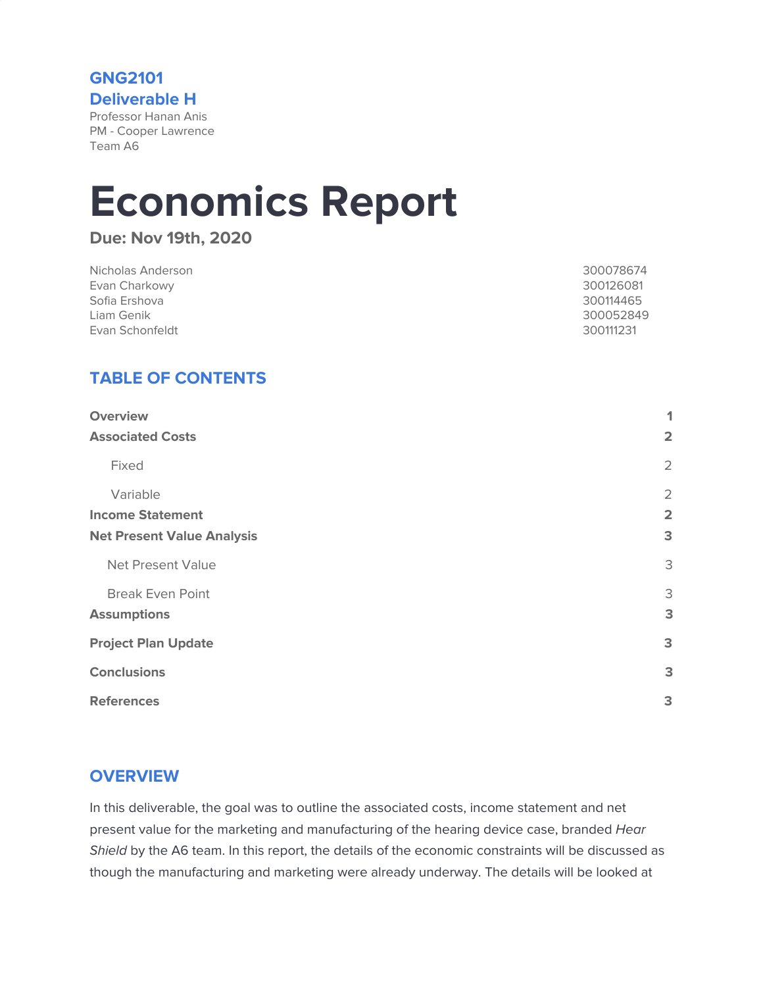**GNG2101 Deliverable H** Professor Hanan Anis

PM - Cooper Lawrence Team A6

# **Economics Report**

**Due: Nov 19th, 2020**

| Nicholas Anderson | 300078674 |
|-------------------|-----------|
| Evan Charkowy     | 300126081 |
| Sofia Ershova     | 300114465 |
| Liam Genik        | 300052849 |
| Evan Schonfeldt   | 300111231 |

# **TABLE OF CONTENTS**

| <b>Overview</b>                   | 1                       |
|-----------------------------------|-------------------------|
| <b>Associated Costs</b>           | $\overline{\mathbf{2}}$ |
| Fixed                             | 2                       |
| Variable                          | $\overline{2}$          |
| <b>Income Statement</b>           | $\overline{\mathbf{2}}$ |
| <b>Net Present Value Analysis</b> | 3                       |
| <b>Net Present Value</b>          | 3                       |
| <b>Break Even Point</b>           | 3                       |
| <b>Assumptions</b>                | 3                       |
| <b>Project Plan Update</b>        | 3                       |
| <b>Conclusions</b>                | 3                       |
| <b>References</b>                 | 3                       |

## <span id="page-0-0"></span>**OVERVIEW**

In this deliverable, the goal was to outline the associated costs, income statement and net present value for the marketing and manufacturing of the hearing device case, branded Hear Shield by the A6 team. In this report, the details of the economic constraints will be discussed as though the manufacturing and marketing were already underway. The details will be looked at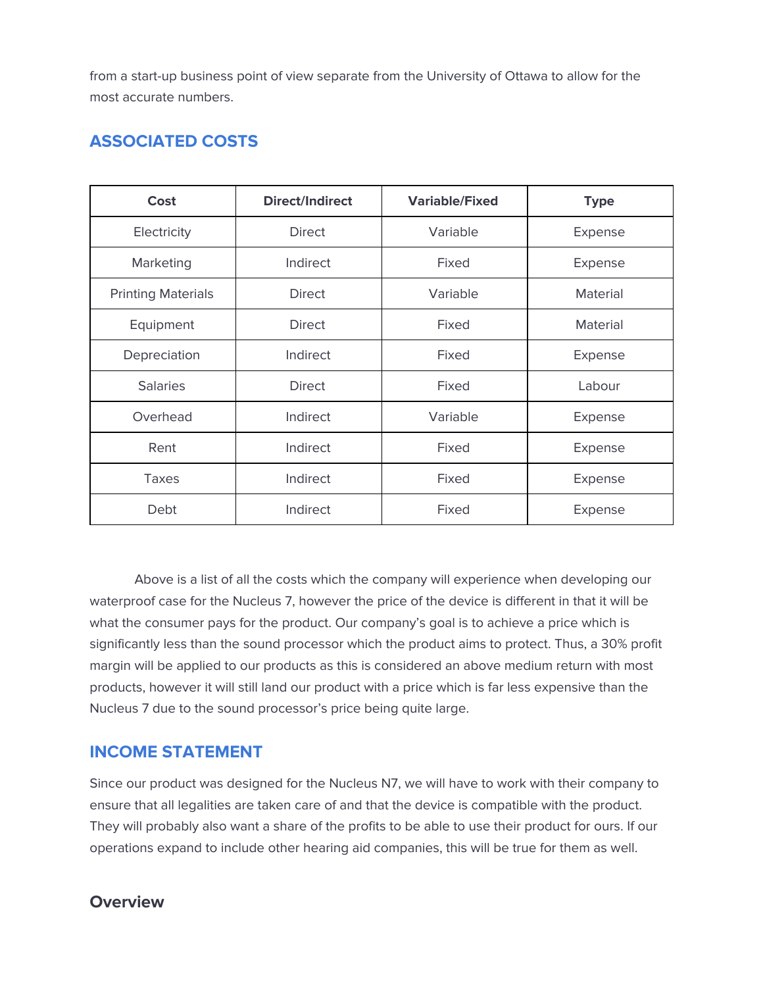from a start-up business point of view separate from the University of Ottawa to allow for the most accurate numbers.

# <span id="page-1-0"></span>**ASSOCIATED COSTS**

| Cost                      | <b>Direct/Indirect</b> | <b>Variable/Fixed</b> | <b>Type</b>     |
|---------------------------|------------------------|-----------------------|-----------------|
| Electricity               | <b>Direct</b>          | Variable              | Expense         |
| Marketing                 | Indirect               | Fixed                 | Expense         |
| <b>Printing Materials</b> | <b>Direct</b>          | Variable              | Material        |
| Equipment                 | <b>Direct</b>          | Fixed                 | <b>Material</b> |
| Depreciation              | Indirect               | Fixed                 | Expense         |
| <b>Salaries</b>           | <b>Direct</b>          | Fixed                 | Labour          |
| Overhead                  | Indirect               | Variable              | Expense         |
| Rent                      | Indirect               | Fixed                 | Expense         |
| Taxes                     | Indirect               | Fixed                 | Expense         |
| Debt                      | Indirect               | Fixed                 | Expense         |

Above is a list of all the costs which the company will experience when developing our waterproof case for the Nucleus 7, however the price of the device is different in that it will be what the consumer pays for the product. Our company's goal is to achieve a price which is significantly less than the sound processor which the product aims to protect. Thus, a 30% profit margin will be applied to our products as this is considered an above medium return with most products, however it will still land our product with a price which is far less expensive than the Nucleus 7 due to the sound processor's price being quite large.

## <span id="page-1-1"></span>**INCOME STATEMENT**

Since our product was designed for the Nucleus N7, we will have to work with their company to ensure that all legalities are taken care of and that the device is compatible with the product. They will probably also want a share of the profits to be able to use their product for ours. If our operations expand to include other hearing aid companies, this will be true for them as well.

## **Overview**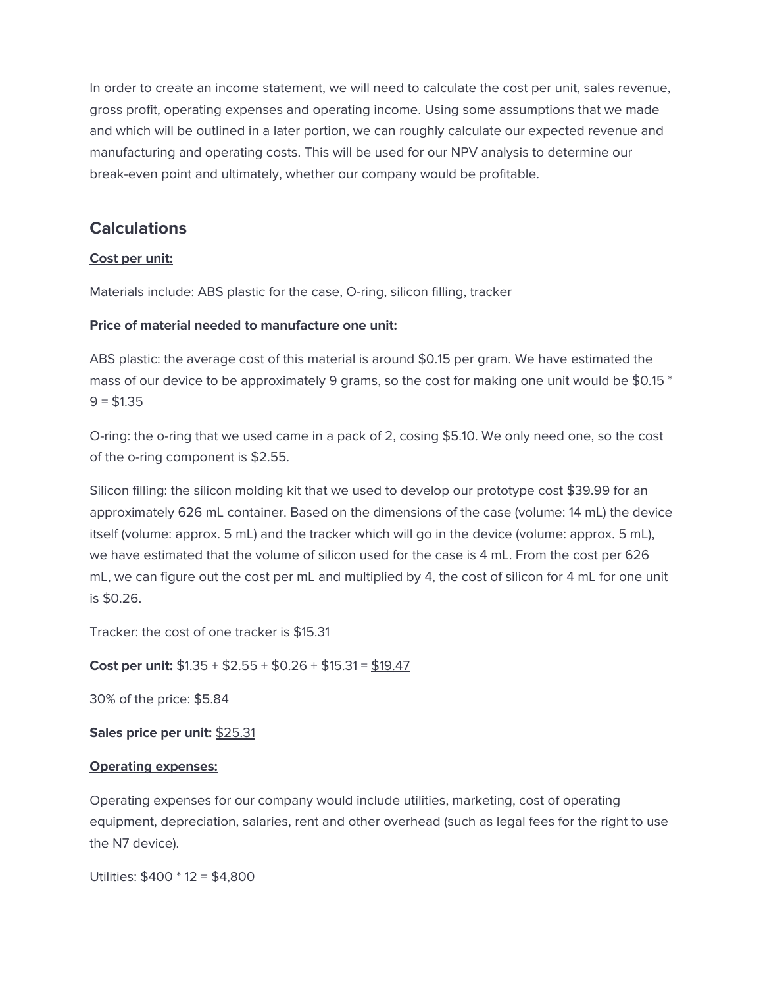In order to create an income statement, we will need to calculate the cost per unit, sales revenue, gross profit, operating expenses and operating income. Using some assumptions that we made and which will be outlined in a later portion, we can roughly calculate our expected revenue and manufacturing and operating costs. This will be used for our NPV analysis to determine our break-even point and ultimately, whether our company would be profitable.

## **Calculations**

#### **Cost per unit:**

Materials include: ABS plastic for the case, O-ring, silicon filling, tracker

#### **Price of material needed to manufacture one unit:**

ABS plastic: the average cost of this material is around \$0.15 per gram. We have estimated the mass of our device to be approximately 9 grams, so the cost for making one unit would be \$0.15 \*  $9 = $1.35$ 

O-ring: the o-ring that we used came in a pack of 2, cosing \$5.10. We only need one, so the cost of the o-ring component is \$2.55.

Silicon filling: the silicon molding kit that we used to develop our prototype cost \$39.99 for an approximately 626 mL container. Based on the dimensions of the case (volume: 14 mL) the device itself (volume: approx. 5 mL) and the tracker which will go in the device (volume: approx. 5 mL), we have estimated that the volume of silicon used for the case is 4 mL. From the cost per 626 mL, we can figure out the cost per mL and multiplied by 4, the cost of silicon for 4 mL for one unit is \$0.26.

Tracker: the cost of one tracker is \$15.31

**Cost per unit:** \$1.35 + \$2.55 + \$0.26 + \$15.31 = \$19.47

30% of the price: \$5.84

**Sales price per unit:** \$25.31

#### **Operating expenses:**

Operating expenses for our company would include utilities, marketing, cost of operating equipment, depreciation, salaries, rent and other overhead (such as legal fees for the right to use the N7 device).

Utilities: \$400 \* 12 = \$4,800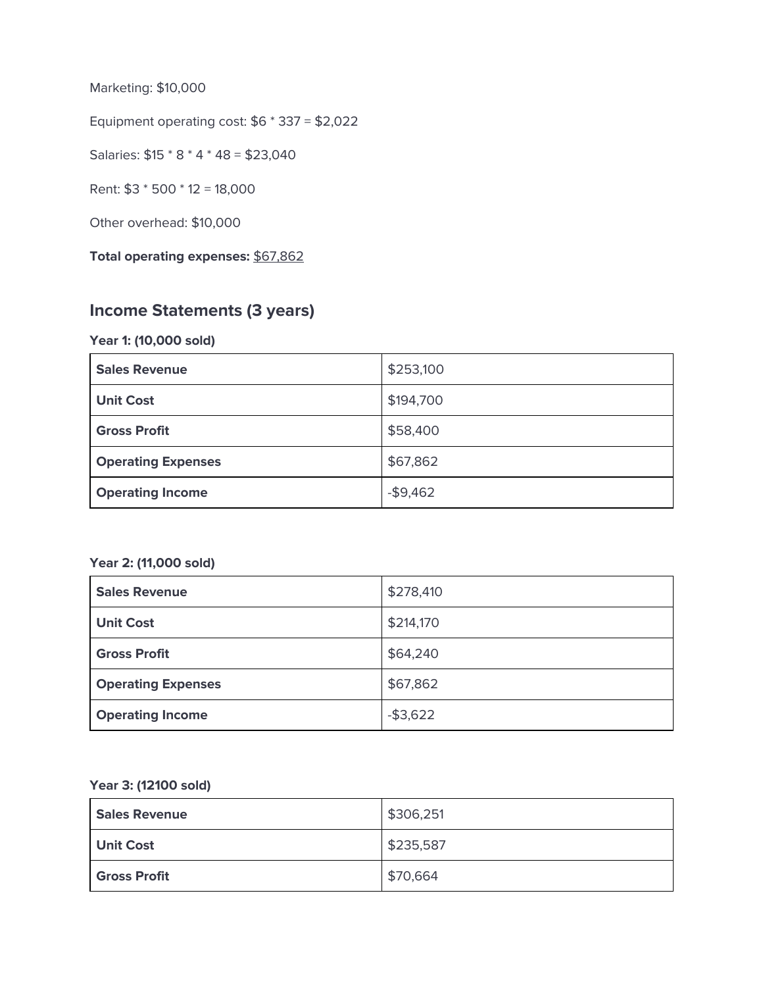Marketing: \$10,000

Equipment operating cost: \$6 \* 337 = \$2,022

Salaries: \$15 \* 8 \* 4 \* 48 = \$23,040

Rent: \$3 \* 500 \* 12 = 18,000

Other overhead: \$10,000

**Total operating expenses:** \$67,862

## **Income Statements (3 years)**

#### **Year 1: (10,000 sold)**

| <b>Sales Revenue</b>      | \$253,100 |
|---------------------------|-----------|
| <b>Unit Cost</b>          | \$194,700 |
| <b>Gross Profit</b>       | \$58,400  |
| <b>Operating Expenses</b> | \$67,862  |
| <b>Operating Income</b>   | $-$9,462$ |

#### **Year 2: (11,000 sold)**

| <b>Sales Revenue</b>      | \$278,410   |
|---------------------------|-------------|
| <b>Unit Cost</b>          | \$214,170   |
| <b>Gross Profit</b>       | \$64,240    |
| <b>Operating Expenses</b> | \$67,862    |
| <b>Operating Income</b>   | $-$ \$3,622 |

#### **Year 3: (12100 sold)**

| <b>Sales Revenue</b> | \$306,251 |
|----------------------|-----------|
| Unit Cost            | \$235,587 |
| <b>Gross Profit</b>  | \$70,664  |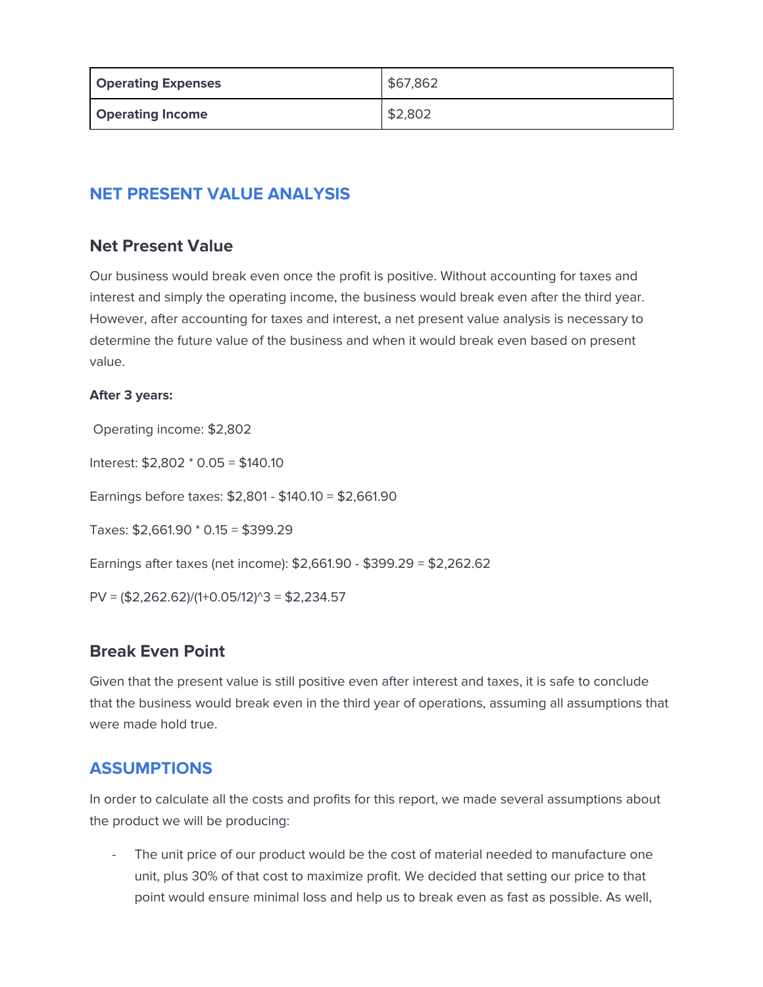| <b>Operating Expenses</b> | \$67,862 |
|---------------------------|----------|
| <b>Operating Income</b>   | \$2,802  |

# <span id="page-4-1"></span><span id="page-4-0"></span>**NET PRESENT VALUE ANALYSIS**

## **Net Present Value**

Our business would break even once the profit is positive. Without accounting for taxes and interest and simply the operating income, the business would break even after the third year. However, after accounting for taxes and interest, a net present value analysis is necessary to determine the future value of the business and when it would break even based on present value.

#### **After 3 years:**

Operating income: \$2,802

Interest: \$2,802 \* 0.05 = \$140.10

Earnings before taxes: \$2,801 - \$140.10 = \$2,661.90

Taxes: \$2,661.90 \* 0.15 = \$399.29

Earnings after taxes (net income): \$2,661.90 - \$399.29 = \$2,262.62

<span id="page-4-2"></span> $PV = (\text{$}2,262.62)/(\text{$}1+\text{$}0.05/\text{$}12)\text{$}3 = \text{$}2,234.57$ 

## **Break Even Point**

Given that the present value is still positive even after interest and taxes, it is safe to conclude that the business would break even in the third year of operations, assuming all assumptions that were made hold true.

## <span id="page-4-3"></span>**ASSUMPTIONS**

In order to calculate all the costs and profits for this report, we made several assumptions about the product we will be producing:

The unit price of our product would be the cost of material needed to manufacture one unit, plus 30% of that cost to maximize profit. We decided that setting our price to that point would ensure minimal loss and help us to break even as fast as possible. As well,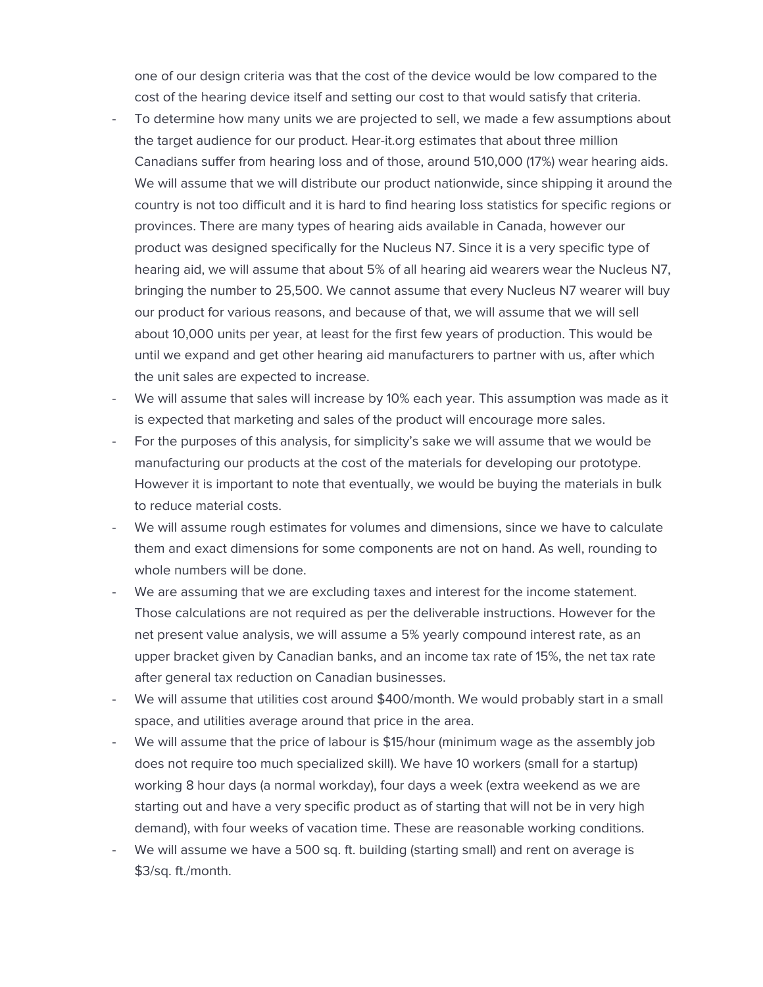one of our design criteria was that the cost of the device would be low compared to the cost of the hearing device itself and setting our cost to that would satisfy that criteria.

- To determine how many units we are projected to sell, we made a few assumptions about the target audience for our product. Hear-it.org estimates that about three million Canadians suffer from hearing loss and of those, around 510,000 (17%) wear hearing aids. We will assume that we will distribute our product nationwide, since shipping it around the country is not too difficult and it is hard to find hearing loss statistics for specific regions or provinces. There are many types of hearing aids available in Canada, however our product was designed specifically for the Nucleus N7. Since it is a very specific type of hearing aid, we will assume that about 5% of all hearing aid wearers wear the Nucleus N7, bringing the number to 25,500. We cannot assume that every Nucleus N7 wearer will buy our product for various reasons, and because of that, we will assume that we will sell about 10,000 units per year, at least for the first few years of production. This would be until we expand and get other hearing aid manufacturers to partner with us, after which the unit sales are expected to increase.
- We will assume that sales will increase by 10% each year. This assumption was made as it is expected that marketing and sales of the product will encourage more sales.
- For the purposes of this analysis, for simplicity's sake we will assume that we would be manufacturing our products at the cost of the materials for developing our prototype. However it is important to note that eventually, we would be buying the materials in bulk to reduce material costs.
- We will assume rough estimates for volumes and dimensions, since we have to calculate them and exact dimensions for some components are not on hand. As well, rounding to whole numbers will be done.
- We are assuming that we are excluding taxes and interest for the income statement. Those calculations are not required as per the deliverable instructions. However for the net present value analysis, we will assume a 5% yearly compound interest rate, as an upper bracket given by Canadian banks, and an income tax rate of 15%, the net tax rate after general tax reduction on Canadian businesses.
- We will assume that utilities cost around \$400/month. We would probably start in a small space, and utilities average around that price in the area.
- We will assume that the price of labour is \$15/hour (minimum wage as the assembly job does not require too much specialized skill). We have 10 workers (small for a startup) working 8 hour days (a normal workday), four days a week (extra weekend as we are starting out and have a very specific product as of starting that will not be in very high demand), with four weeks of vacation time. These are reasonable working conditions.
- We will assume we have a 500 sq. ft. building (starting small) and rent on average is \$3/sq. ft./month.